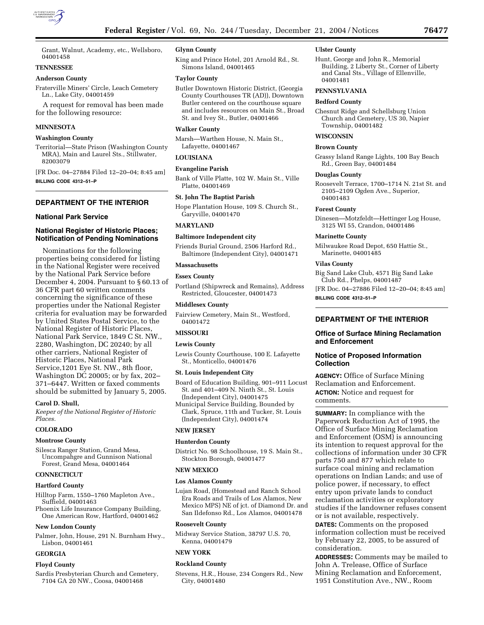

Grant, Walnut, Academy, etc., Wellsboro, 04001458

# **TENNESSEE**

## **Anderson County**

Fraterville Miners' Circle, Leach Cemetery Ln., Lake City, 04001459

A request for removal has been made for the following resource:

### **MINNESOTA**

### **Washington County**

Territorial—State Prison (Washington County MRA), Main and Laurel Sts., Stillwater, 82003079

[FR Doc. 04–27884 Filed 12–20–04; 8:45 am] **BILLING CODE 4312–51–P**

## **DEPARTMENT OF THE INTERIOR**

# **National Park Service**

## **National Register of Historic Places; Notification of Pending Nominations**

Nominations for the following properties being considered for listing in the National Register were received by the National Park Service before December 4, 2004. Pursuant to § 60.13 of 36 CFR part 60 written comments concerning the significance of these properties under the National Register criteria for evaluation may be forwarded by United States Postal Service, to the National Register of Historic Places, National Park Service, 1849 C St. NW., 2280, Washington, DC 20240; by all other carriers, National Register of Historic Places, National Park Service,1201 Eye St. NW., 8th floor, Washington DC 20005; or by fax, 202– 371–6447. Written or faxed comments should be submitted by January 5, 2005.

### **Carol D. Shull,**

*Keeper of the National Register of Historic Places.*

# **COLORADO**

### **Montrose County**

Silesca Ranger Station, Grand Mesa, Uncompahgre and Gunnison National Forest, Grand Mesa, 04001464

### **CONNECTICUT**

### **Hartford County**

Hilltop Farm, 1550–1760 Mapleton Ave., Suffield, 04001463

Phoenix Life Insurance Company Building, One American Row, Hartford, 04001462

### **New London County**

Palmer, John, House, 291 N. Burnham Hwy., Lisbon, 04001461

### **GEORGIA**

### **Floyd County**

Sardis Presbyterian Church and Cemetery, 7104 GA 20 NW., Coosa, 04001468

## **Glynn County**

King and Prince Hotel, 201 Arnold Rd., St. Simons Island, 04001465

## **Taylor County**

Butler Downtown Historic District, (Georgia County Courthouses TR (AD)), Downtown Butler centered on the courthouse square and includes resources on Main St., Broad St. and Ivey St., Butler, 04001466

## **Walker County**

Marsh—Warthen House, N. Main St., Lafayette, 04001467

# **LOUISIANA**

#### **Evangeline Parish**

Bank of Ville Platte, 102 W. Main St., Ville Platte, 04001469

### **St. John The Baptist Parish**

Hope Plantation House, 109 S. Church St., Garyville, 04001470

# **MARYLAND**

#### **Baltimore Independent city**

Friends Burial Ground, 2506 Harford Rd., Baltimore (Independent City), 04001471

#### **Massachusetts**

### **Essex County**

Portland (Shipwreck and Remains), Address Restricted, Gloucester, 04001473

#### **Middlesex County**

Fairview Cemetery, Main St., Westford, 04001472

# **MISSOURI**

### **Lewis County**

Lewis County Courthouse, 100 E. Lafayette St., Monticello, 04001476

# **St. Louis Independent City**

Board of Education Building, 901–911 Locust St. and 401–409 N. Ninth St., St. Louis (Independent City), 04001475

Municipal Service Building, Bounded by Clark, Spruce, 11th and Tucker, St. Louis (Independent City), 04001474

# **NEW JERSEY**

# **Hunterdon County**

District No. 98 Schoolhouse, 19 S. Main St., Stockton Borough, 04001477

#### **NEW MEXICO**

# **Los Alamos County**

Lujan Road, (Homestead and Ranch School Era Roads and Trails of Los Alamos, New Mexico MPS) NE of jct. of Diamond Dr. and San Ildefonso Rd., Los Alamos, 04001478

#### **Roosevelt County**

Midway Service Station, 38797 U.S. 70, Kenna, 04001479

# **NEW YORK**

# **Rockland County**

Stevens, H.R., House, 234 Congers Rd., New City, 04001480

### **Ulster County**

Hunt, George and John R., Memorial Building, 2 Liberty St., Corner of Liberty and Canal Sts., Village of Ellenville, 04001481

# **PENNSYLVANIA**

### **Bedford County**

Chesnut Ridge and Schellsburg Union Church and Cemetery, US 30, Napier Township, 04001482

# **WISCONSIN**

#### **Brown County**

Grassy Island Range Lights, 100 Bay Beach Rd., Green Bay, 04001484

### **Douglas County**

Roosevelt Terrace, 1700–1714 N. 21st St. and 2105–2109 Ogden Ave., Superior, 04001483

# **Forest County**

Dinesen—Motzfeldt—Hettinger Log House, 3125 WI 55, Crandon, 04001486

#### **Marinette County**

Milwaukee Road Depot, 650 Hattie St., Marinette, 04001485

### **Vilas County**

Big Sand Lake Club, 4571 Big Sand Lake Club Rd., Phelps, 04001487

[FR Doc. 04–27886 Filed 12–20–04; 8:45 am] **BILLING CODE 4312–51–P**

# **DEPARTMENT OF THE INTERIOR**

# **Office of Surface Mining Reclamation and Enforcement**

# **Notice of Proposed Information Collection**

**AGENCY:** Office of Surface Mining Reclamation and Enforcement. **ACTION:** Notice and request for comments.

**SUMMARY:** In compliance with the Paperwork Reduction Act of 1995, the Office of Surface Mining Reclamation and Enforcement (OSM) is announcing its intention to request approval for the collections of information under 30 CFR parts 750 and 877 which relate to surface coal mining and reclamation operations on Indian Lands; and use of police power, if necessary, to effect entry upon private lands to conduct reclamation activities or exploratory studies if the landowner refuses consent or is not available, respectively.

**DATES:** Comments on the proposed information collection must be received by February 22, 2005, to be assured of consideration.

**ADDRESSES:** Comments may be mailed to John A. Trelease, Office of Surface Mining Reclamation and Enforcement, 1951 Constitution Ave., NW., Room